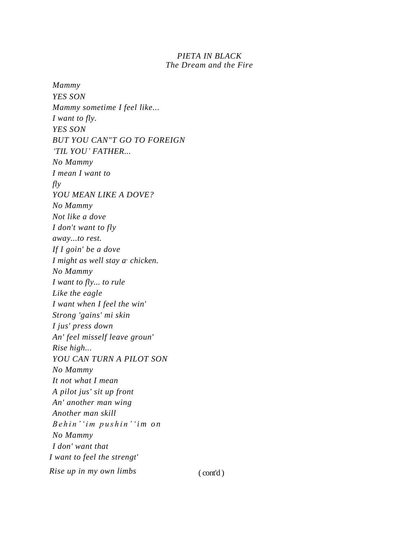## *PIETA IN BLACK The Dream and the Fire*

*Mammy YES SON Mammy sometime I feel like... I want to fly. YES SON BUT YOU CAN"T GO TO FOREIGN 'TIL YOU' FATHER... No Mammy I mean I want to fly YOU MEAN LIKE A DOVE? No Mammy Not like a dove I don't want to fly away...to rest. If I goin' be a dove I might as well stay a, chicken. No Mammy I want to fly... to rule Like the eagle I want when I feel the win' Strong 'gains' mi skin I jus' press down An' feel misself leave groun' Rise high... YOU CAN TURN A PILOT SON No Mammy It not what I mean A pilot jus' sit up front An' another man wing Another man skill B e h i n ' 'i m p u s h i n ' 'i m o n No Mammy I don' want that I want to feel the strengt' Rise up in my own limbs* (cont'd)